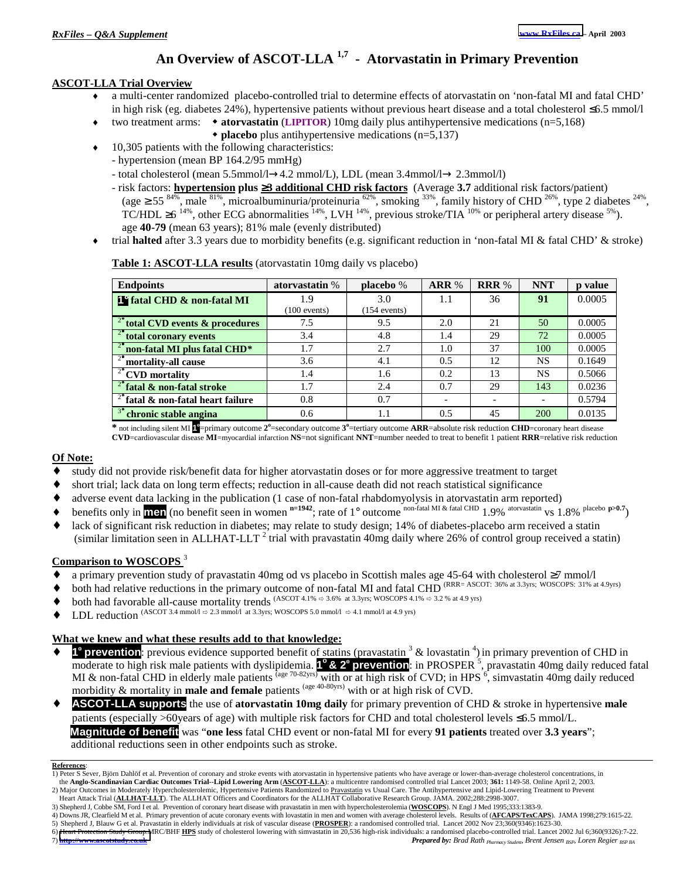### **An Overview of ASCOT-LLA 1,7 - Atorvastatin in Primary Prevention**

#### **ASCOT-LLA Trial Overview**

- a multi-center randomized placebo-controlled trial to determine effects of atorvastatin on 'non-fatal MI and fatal CHD' in high risk (eg. diabetes 24%), hypertensive patients without previous heart disease and a total cholesterol ≤6.5 mmol/l
	- ♦ two treatment arms: **atorvastatin** (**LIPITOR**) 10mg daily plus antihypertensive medications (n=5,168)
		- **placebo** plus antihypertensive medications (n=5,137)
- $\cdot$  10,305 patients with the following characteristics:
	- hypertension (mean BP 164.2/95 mmHg) - total cholesterol (mean 5.5mmol/l→4.2 mmol/L), LDL (mean 3.4mmol/l→ 2.3mmol/l)
	- risk factors: **hypertension plus** ≥**3 additional CHD risk factors** (Average **3.7** additional risk factors/patient) (age  $\geq$  55 <sup>84%</sup>, male <sup>81%</sup>, microalbuminuria/proteinuria <sup>62%</sup>, smoking <sup>33%</sup>, family history of CHD <sup>26%</sup>, type 2 diabetes <sup>24%</sup>, TC/HDL  $\geq 6^{14\%}$ , other ECG abnormalities  $^{14\%}$ , LVH  $^{14\%}$ , previous stroke/TIA  $^{10\%}$  or peripheral artery disease  $^{5\%}$ ). age **40-79** (mean 63 years); 81% male (evenly distributed)
- ♦ trial **halted** after 3.3 years due to morbidity benefits (e.g. significant reduction in 'non-fatal MI & fatal CHD' & stroke)

| <b>Endpoints</b>                                       | atorvastatin % | placebo %      | ARR %                    | <b>RRR %</b> | <b>NNT</b> | p value |
|--------------------------------------------------------|----------------|----------------|--------------------------|--------------|------------|---------|
| <b>F</b> fatal CHD & non-fatal MI                      | 1.9            | 3.0            | 1.1                      | 36           | 91         | 0.0005  |
|                                                        | $(100$ events) | $(154$ events) |                          |              |            |         |
| <sup>2°</sup> total CVD events & procedures            | 7.5            | 9.5            | 2.0                      | 21           | 50         | 0.0005  |
| $2^\circ$ total coronary events                        | 3.4            | 4.8            | 1.4                      | 29           | 72         | 0.0005  |
| <sup>2°</sup> non-fatal MI plus fatal CHD <sup>*</sup> | 1.7            | 2.7            | 1.0                      | 37           | 100        | 0.0005  |
| $\frac{1}{2}$ mortality-all cause                      | 3.6            | 4.1            | 0.5                      | 12           | <b>NS</b>  | 0.1649  |
| $\overline{C}^{\circ}$ CVD mortality                   | 1.4            | 1.6            | 0.2                      | 13           | <b>NS</b>  | 0.5066  |
| $2^{\circ}$ fatal & non-fatal stroke                   | 1.7            | 2.4            | 0.7                      | 29           | 143        | 0.0236  |
| $\overline{2^{\circ}}$ fatal & non-fatal heart failure | 0.8            | 0.7            | $\overline{\phantom{0}}$ |              |            | 0.5794  |
| <sup>3°</sup> chronic stable angina                    | 0.6            | 1.1            | 0.5                      | 45           | 200        | 0.0135  |
|                                                        |                |                |                          |              |            |         |

#### **Table 1: ASCOT-LLA results** (atorvastatin 10mg daily vs placebo)

**\*** not including silent MI **1<sup>o</sup>** =primary outcome **2<sup>o</sup>** =secondary outcome **3<sup>o</sup>** =tertiary outcome **ARR**=absolute risk reduction **CHD**=coronary heart disease **CVD**=cardiovascular disease **MI**=myocardial infarction **NS**=not significant **NNT**=number needed to treat to benefit 1 patient **RRR**=relative risk reduction

#### **Of Note:**

- study did not provide risk/benefit data for higher atorvastatin doses or for more aggressive treatment to target
- short trial; lack data on long term effects; reduction in all-cause death did not reach statistical significance
- adverse event data lacking in the publication (1 case of non-fatal rhabdomyolysis in atorvastatin arm reported)
- benefits only in **men** (no benefit seen in women  $n=1942$ ; rate of 1° outcome non-fatal MI & fatal CHD 1.9% atorvastatin vs 1.8% placebo  $p>0.7$ )
- lack of significant risk reduction in diabetes; may relate to study design; 14% of diabetes-placebo arm received a statin (similar limitation seen in ALLHAT-LLT<sup>2</sup> trial with pravastatin 40mg daily where 26% of control group received a statin)

#### **Comparison to WOSCOPS** <sup>3</sup>

- ♦ a primary prevention study of pravastatin 40mg od vs placebo in Scottish males age 45-64 with cholesterol ≥7 mmol/l
- both had relative reductions in the primary outcome of non-fatal MI and fatal CHD (RRR= ASCOT: 36% at 3.3yrs; WOSCOPS: 31% at 4.9yrs)
- both had favorable all-cause mortality trends  $(ASCOT 4.1\% \approx 3.6\%$  at 3.3yrs; WOSCOPS 4.1%  $\approx 3.2\%$  at 4.9 yrs)
- LDL reduction (ASCOT 3.4 mmol/l  $\Leftrightarrow$  2.3 mmol/l at 3.3yrs; WOSCOPS 5.0 mmol/l  $\Leftrightarrow$  4.1 mmol/l at 4.9 yrs)

#### **What we knew and what these results add to that knowledge:**

◆ **1<sup>°</sup> prevention**: previous evidence supported benefit of statins (pravastatin <sup>3</sup> & lovastatin <sup>4</sup>) in primary prevention of CHD in moderate to high risk male patients with dyslipidemia. <sup>1°</sup> & 2° **prevention**: in PROSPER<sup>'s</sup>, pravastatin 40mg daily reduced fatal MI & non-fatal CHD in elderly male patients  $\frac{(\text{age } 70-82)\text{rs})}{\text{with or at high risk of CVD}}$ ; in HPS  $\frac{6}{5}$ , simvastatin 40mg daily reduced morbidity & mortality in **male and female** patients <sup>(age 40-80yrs)</sup> with or at high risk of CVD.

♦ **ASCOT-LLA supports** the use of **atorvastatin 10mg daily** for primary prevention of CHD & stroke in hypertensive **male** patients (especially >60years of age) with multiple risk factors for CHD and total cholesterol levels ≤6.5 mmol/L.  **Magnitude of benefit** was "**one less** fatal CHD event or non-fatal MI for every **91 patients** treated over **3.3 years**"; additional reductions seen in other endpoints such as stroke.

- 4) Downs JR, Clearfield M et al. Primary prevention of acute coronary events with lovastatin in men and women with average cholesterol levels. Results of (**AFCAPS/TexCAPS**). JAMA 1998;279:1615-22.
- 5) Shepherd J, Blauw G et al. Pravastatin in elderly individuals at risk of vascular disease (**PROSPER**): a randomised controlled trial. Lancet 2002 Nov 23;360(9346):1623-30. 6) [Heart Protection Study Group.M](http://www.ascotstudy.co.uk/)RC/BHF **HPS** study of cholesterol lowering with simvastatin in 20,536 high-risk individuals: a randomised placebo-controlled trial. Lancet 2002 Jul 6;360(9326):7-22.

7) **http://www.ascotstudy.co.uk** *Prepared by: Brad Rath Pharmacy Student, Brent Jensen BSP, Loren Regier BSP BA*

**References**:

<sup>1)</sup> Peter S Sever, Björn Dahlöf et al. Prevention of coronary and stroke events with atorvastatin in hypertensive patients who have average or lower-than-average cholesterol concentrations, in the **Anglo-Scandinavian Cardiac Outcomes Trial--Lipid Lowering Arm** (**ASCOT-LLA**): a multicentre randomised controlled trial Lancet 2003; **361:** 1149-58. Online April 2, 2003.

<sup>2)</sup> Major Outcomes in Moderately Hypercholesterolemic, Hypertensive Patients Randomized to Pravastatin vs Usual Care. The Antihypertensive and Lipid-Lowering Treatment to Prevent Heart Attack Trial (**ALLHAT-LLT**). The ALLHAT Officers and Coordinators for the ALLHAT Collaborative Research Group. JAMA. 2002;288:2998-3007.

<sup>3)</sup> Shepherd J, Cobbe SM, Ford I et al. Prevention of coronary heart disease with pravastatin in men with hypercholesterolemia (**WOSCOPS**). N Engl J Med 1995;333:1383-9.